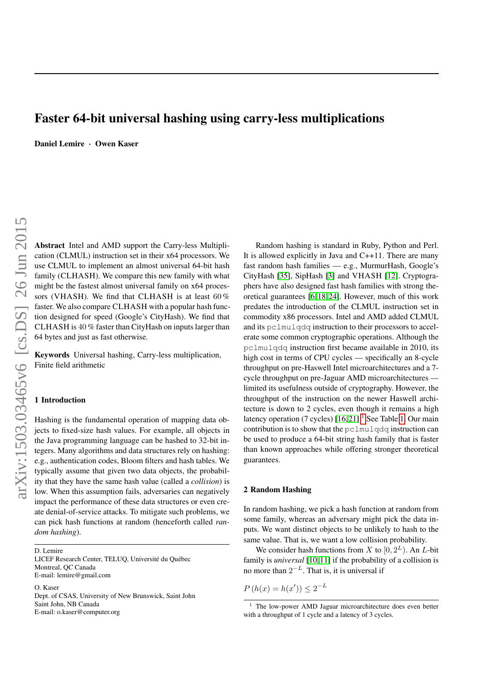# Faster 64-bit universal hashing using carry-less multiplications

Daniel Lemire · Owen Kaser

Abstract Intel and AMD support the Carry-less Multiplication (CLMUL) instruction set in their x64 processors. We use CLMUL to implement an almost universal 64-bit hash family (CLHASH). We compare this new family with what might be the fastest almost universal family on x64 processors (VHASH). We find that CLHASH is at least 60 % faster. We also compare CLHASH with a popular hash function designed for speed (Google's CityHash). We find that CLHASH is 40 % faster than CityHash on inputs larger than 64 bytes and just as fast otherwise.

Keywords Universal hashing, Carry-less multiplication, Finite field arithmetic

#### 1 Introduction

Hashing is the fundamental operation of mapping data objects to fixed-size hash values. For example, all objects in the Java programming language can be hashed to 32-bit integers. Many algorithms and data structures rely on hashing: e.g., authentication codes, Bloom filters and hash tables. We typically assume that given two data objects, the probability that they have the same hash value (called a *collision*) is low. When this assumption fails, adversaries can negatively impact the performance of these data structures or even create denial-of-service attacks. To mitigate such problems, we can pick hash functions at random (henceforth called *random hashing*).

D. Lemire

#### O. Kaser

Dept. of CSAS, University of New Brunswick, Saint John Saint John, NB Canada E-mail: o.kaser@computer.org

Random hashing is standard in Ruby, Python and Perl. It is allowed explicitly in Java and C++11. There are many fast random hash families — e.g., MurmurHash, Google's CityHash [\[35\]](#page-14-0), SipHash [\[3\]](#page-13-0) and VHASH [\[12\]](#page-13-1). Cryptographers have also designed fast hash families with strong theoretical guarantees [\[6,](#page-13-2) [18,](#page-13-3) [24\]](#page-13-4). However, much of this work predates the introduction of the CLMUL instruction set in commodity x86 processors. Intel and AMD added CLMUL and its pclmulqdq instruction to their processors to accelerate some common cryptographic operations. Although the pclmulqdq instruction first became available in 2010, its high cost in terms of CPU cycles — specifically an 8-cycle throughput on pre-Haswell Intel microarchitectures and a 7 cycle throughput on pre-Jaguar AMD microarchitectures limited its usefulness outside of cryptography. However, the throughput of the instruction on the newer Haswell architecture is down to 2 cycles, even though it remains a high latency operation (7 cycles)  $[16, 21]$  $[16, 21]$ .<sup>[1](#page-0-0)</sup> See Table [1.](#page-1-0) Our main contribution is to show that the pclmulqdq instruction can be used to produce a 64-bit string hash family that is faster than known approaches while offering stronger theoretical guarantees.

## 2 Random Hashing

In random hashing, we pick a hash function at random from some family, whereas an adversary might pick the data inputs. We want distinct objects to be unlikely to hash to the same value. That is, we want a low collision probability.

We consider hash functions from X to  $[0, 2^L)$ . An L-bit family is *universal* [\[10,](#page-13-7) [11\]](#page-13-8) if the probability of a collision is no more than  $2^{-L}$ . That is, it is universal if

 $P(h(x) = h(x')) \leq 2^{-L}$ 

LICEF Research Center, TELUQ, Université du Québec Montreal, QC Canada E-mail: lemire@gmail.com

<span id="page-0-0"></span> $1$  The low-power AMD Jaguar microarchitecture does even better with a throughput of 1 cycle and a latency of 3 cycles.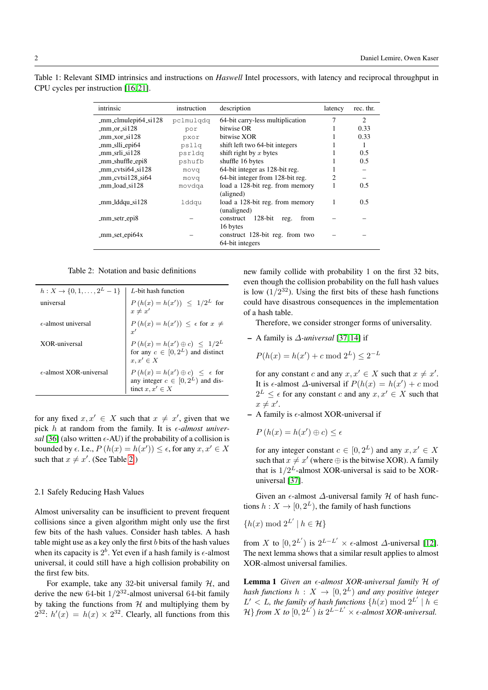| intrinsic                     | instruction | description                             | latency                     | rec. thr. |
|-------------------------------|-------------|-----------------------------------------|-----------------------------|-----------|
| $mm$ ]clmulepi $64$ _si $128$ | pclmulqdq   | 64-bit carry-less multiplication        |                             | 2         |
| $mm_$ or_si128                | por         | bitwise OR                              |                             | 0.33      |
| $-mm_x$ or $\leq$ 128         | pxor        | bitwise XOR                             | ш                           | 0.33      |
| _mm_slli_epi64                | psllg       | shift left two 64-bit integers          |                             |           |
| mm srli si128                 | psrldq      | shift right by $x$ bytes                |                             | 0.5       |
| mm_shuffle_epi8               | pshufb      | shuffle 16 bytes                        |                             | 0.5       |
| $mm_c vtsi64_si128$           | movq        | 64-bit integer as 128-bit reg.          |                             |           |
| mm_cytsi128_si64              | movq        | 64-bit integer from 128-bit reg.        | $\mathcal{D}_{\mathcal{L}}$ |           |
| _mm_load_si128                | movdga      | load a 128-bit reg. from memory         |                             | 0.5       |
|                               |             | (aligned)                               |                             |           |
| $-mm$ -Iddqu $\text{si}128$   | lddqu       | load a 128-bit reg. from memory         | 1                           | 0.5       |
|                               |             | (unaligned)                             |                             |           |
| mm_setr_epi8                  |             | $128$ -bit<br>construct<br>from<br>reg. |                             |           |
|                               |             | 16 bytes                                |                             |           |
| $mm_set_epi64x$               |             | construct 128-bit reg. from two         |                             |           |
|                               |             | 64-bit integers                         |                             |           |

<span id="page-1-0"></span>Table 1: Relevant SIMD intrinsics and instructions on *Haswell* Intel processors, with latency and reciprocal throughput in CPU cycles per instruction [\[16,](#page-13-5) [21\]](#page-13-6).

Table 2: Notation and basic definitions

<span id="page-1-1"></span>

| $h: X \to \{0, 1, \ldots, 2^L - 1\}$ | L-bit hash function                                                                                                                                           |
|--------------------------------------|---------------------------------------------------------------------------------------------------------------------------------------------------------------|
| universal                            | $P(h(x) = h(x')) \le 1/2^L$ for $x \ne x'$                                                                                                                    |
| $\epsilon$ -almost universal         | $P(h(x) = h(x')) \leq \epsilon$ for $x \neq x'$                                                                                                               |
| XOR-universal                        | $\begin{array}{l} P\left(h(x)=h(x')\oplus c\right)\;\leq\; 1/2^L\\ \mbox{for any}\; c\,\in\,\left[0,2^L\right)\; \mbox{and distinct}\\ x,x'\in X \end{array}$ |
| $\epsilon$ -almost XOR-universal     | $P(h(x) = h(x') \oplus c) \leq \epsilon$ for<br>any integer $c \in [0, 2^L)$ and dis-<br>tinct $x, x' \in X$                                                  |

for any fixed  $x, x' \in X$  such that  $x \neq x'$ , given that we pick h at random from the family. It is  $\epsilon$ -almost univer*sal* [\[36\]](#page-14-1) (also written  $\epsilon$ -AU) if the probability of a collision is bounded by  $\epsilon$ . I.e.,  $P(h(x) = h(x')) \leq \epsilon$ , for any  $x, x' \in X$ such that  $x \neq x'$ . (See Table [2.](#page-1-1))

## 2.1 Safely Reducing Hash Values

Almost universality can be insufficient to prevent frequent collisions since a given algorithm might only use the first few bits of the hash values. Consider hash tables. A hash table might use as a key only the first  $b$  bits of the hash values when its capacity is  $2^b$ . Yet even if a hash family is  $\epsilon$ -almost universal, it could still have a high collision probability on the first few bits.

For example, take any 32-bit universal family  $H$ , and derive the new 64-bit  $1/2^{32}$ -almost universal 64-bit family by taking the functions from  $H$  and multiplying them by  $2^{32}$ :  $h'(x) = h(x) \times 2^{32}$ . Clearly, all functions from this new family collide with probability 1 on the first 32 bits, even though the collision probability on the full hash values is low  $(1/2^{32})$ . Using the first bits of these hash functions could have disastrous consequences in the implementation of a hash table.

Therefore, we consider stronger forms of universality.

– A family is ∆*-universal* [\[37,](#page-14-2) [14\]](#page-13-9) if

$$
P(h(x) = h(x') + c \bmod 2^L) \le 2^{-L}
$$

for any constant c and any  $x, x' \in X$  such that  $x \neq x'$ . It is  $\epsilon$ -almost  $\Delta$ -universal if  $P(h(x) = h(x') + c \mod 1$  $2^L \leq \epsilon$  for any constant c and any  $x, x' \in X$  such that  $x \neq x'.$ 

– A family is  $\epsilon$ -almost XOR-universal if

$$
P(h(x) = h(x') \oplus c) \le \epsilon
$$

for any integer constant  $c \in [0, 2^L)$  and any  $x, x' \in X$ such that  $x \neq x'$  (where  $\oplus$  is the bitwise XOR). A family that is  $1/2^L$ -almost XOR-universal is said to be XORuniversal [\[37\]](#page-14-2).

Given an  $\epsilon$ -almost  $\Delta$ -universal family  $\mathcal H$  of hash functions  $h: X \to [0, 2^L)$ , the family of hash functions

$$
\{h(x) \bmod 2^{L'} \mid h \in \mathcal{H}\}\
$$

from X to  $[0, 2^{L'}]$  is  $2^{L-L'} \times \epsilon$ -almost  $\Delta$ -universal [\[12\]](#page-13-1). The next lemma shows that a similar result applies to almost XOR-almost universal families.

<span id="page-1-2"></span>Lemma 1 *Given an -almost XOR-universal family* H *of hash functions*  $h: X \to [0, 2^L)$  *and any positive integer*  $L' < L$ , the family of hash functions  $\{h(x) \mod 2^{L'} \mid h \in L\}$  $\mathcal{H}$  *from* X to  $[0, 2^{L'}]$  is  $2^{L-L'} \times \epsilon$ -almost XOR-universal.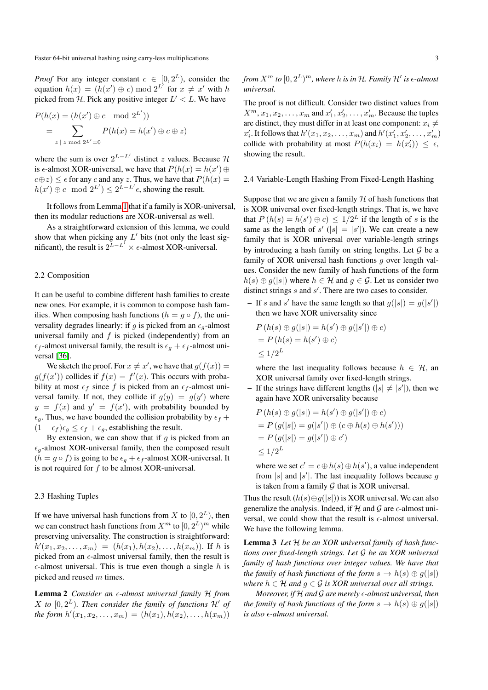*Proof* For any integer constant  $c \in [0, 2^L)$ , consider the equation  $h(x) = (h(x') \oplus c) \bmod 2^{L'}$  for  $x \neq x'$  with h picked from H. Pick any positive integer  $L' < L$ . We have

$$
P(h(x) = (h(x') \oplus c \mod 2^{L'}))
$$
  
= 
$$
\sum_{z \mid z \mod 2^{L'}=0} P(h(x) = h(x') \oplus c \oplus z)
$$

where the sum is over  $2^{L-L'}$  distinct z values. Because  $\mathcal{H}$ is  $\epsilon$ -almost XOR-universal, we have that  $P(h(x) = h(x') \oplus$  $c \oplus z$ )  $\leq \epsilon$  for any c and any z. Thus, we have that  $P(h(x) =$  $h(x') \oplus c \mod 2^{L'} \leq 2^{L-L'} \epsilon$ , showing the result.

It follows from Lemma [1](#page-1-2) that if a family is XOR-universal, then its modular reductions are XOR-universal as well.

As a straightforward extension of this lemma, we could show that when picking any  $L'$  bits (not only the least sigmificant), the result is  $2^{\overline{L}-L'} \times \epsilon$ -almost XOR-universal.

## 2.2 Composition

It can be useful to combine different hash families to create new ones. For example, it is common to compose hash families. When composing hash functions ( $h = g \circ f$ ), the universality degrades linearly: if g is picked from an  $\epsilon_q$ -almost universal family and  $f$  is picked (independently) from an  $\epsilon_f$ -almost universal family, the result is  $\epsilon_g + \epsilon_f$ -almost universal [\[36\]](#page-14-1).

We sketch the proof. For  $x \neq x'$ , we have that  $g(f(x)) =$  $g(f(x'))$  collides if  $f(x) = f'(x)$ . This occurs with probability at most  $\epsilon_f$  since f is picked from an  $\epsilon_f$ -almost universal family. If not, they collide if  $g(y) = g(y')$  where  $y = f(x)$  and  $y' = f(x')$ , with probability bounded by  $\epsilon_q$ . Thus, we have bounded the collision probability by  $\epsilon_f$  +  $(1 - \epsilon_f)\epsilon_g \leq \epsilon_f + \epsilon_g$ , establishing the result.

By extension, we can show that if  $q$  is picked from an  $\epsilon_a$ -almost XOR-universal family, then the composed result  $(h = g \circ f)$  is going to be  $\epsilon_q + \epsilon_f$ -almost XOR-universal. It is not required for  $f$  to be almost XOR-universal.

#### <span id="page-2-0"></span>2.3 Hashing Tuples

If we have universal hash functions from X to  $[0, 2^L)$ , then we can construct hash functions from  $X^m$  to  $[0, 2^L)^m$  while preserving universality. The construction is straightforward:  $h'(x_1, x_2, \ldots, x_m) = (h(x_1), h(x_2), \ldots, h(x_m))$ . If h is picked from an  $\epsilon$ -almost universal family, then the result is  $\epsilon$ -almost universal. This is true even though a single h is picked and reused m times.

<span id="page-2-1"></span>**Lemma 2** *Consider an e-almost universal family* H *from*  $X$  to  $[0, 2^L)$ . Then consider the family of functions  $\mathcal{H}'$  of *the form*  $h'(x_1, x_2, \ldots, x_m) = (h(x_1), h(x_2), \ldots, h(x_m))$ 

from  $X^m$  to  $[0,2^L)^m$ , where  $h$  is in  $\mathcal H$ . Family  $\mathcal H'$  is  $\epsilon$ -almost *universal.*

The proof is not difficult. Consider two distinct values from  $X^m, x_1, x_2, \ldots, x_m$  and  $x'_1, x'_2, \ldots, x'_m$ . Because the tuples are distinct, they must differ in at least one component:  $x_i \neq$  $x'_i$ . It follows that  $h'(x_1, x_2, \ldots, x_m)$  and  $h'(x'_1, x'_2, \ldots, x'_m)$ collide with probability at most  $P(h(x_i) = h(x_i')) \leq \epsilon$ , showing the result.

#### 2.4 Variable-Length Hashing From Fixed-Length Hashing

Suppose that we are given a family  $H$  of hash functions that is XOR universal over fixed-length strings. That is, we have that  $P(h(s) = h(s') \oplus c) \leq 1/2^L$  if the length of s is the same as the length of  $s'$  ( $|s| = |s'|$ ). We can create a new family that is XOR universal over variable-length strings by introducing a hash family on string lengths. Let  $G$  be a family of XOR universal hash functions  $q$  over length values. Consider the new family of hash functions of the form  $h(s) \oplus g(|s|)$  where  $h \in \mathcal{H}$  and  $g \in \mathcal{G}$ . Let us consider two distinct strings  $s$  and  $s'$ . There are two cases to consider.

- If s and s' have the same length so that  $g(|s|) = g(|s'|)$ then we have XOR universality since

$$
P(h(s) \oplus g(|s|) = h(s') \oplus g(|s'|) \oplus c)
$$
  
=  $P(h(s) = h(s') \oplus c)$   
 $\leq 1/2^{L}$ 

where the last inequality follows because  $h \in \mathcal{H}$ , an XOR universal family over fixed-length strings.

- If the strings have different lengths ( $|s| \neq |s'|$ ), then we again have XOR universality because

$$
P(h(s) \oplus g(|s|) = h(s') \oplus g(|s'|) \oplus c)
$$
  
= 
$$
P(g(|s|) = g(|s'|) \oplus (c \oplus h(s) \oplus h(s')))
$$
  
= 
$$
P(g(|s|) = g(|s'|) \oplus c')
$$
  

$$
\leq 1/2^{L}
$$

where we set  $c' = c \oplus h(s) \oplus h(s')$ , a value independent from  $|s|$  and  $|s'|$ . The last inequality follows because g is taken from a family  $G$  that is XOR universal.

Thus the result  $(h(s) \oplus g(|s|))$  is XOR universal. We can also generalize the analysis. Indeed, if  $H$  and  $G$  are  $\epsilon$ -almost universal, we could show that the result is  $\epsilon$ -almost universal. We have the following lemma.

<span id="page-2-2"></span>Lemma 3 *Let* H *be an XOR universal family of hash functions over fixed-length strings. Let* G *be an XOR universal family of hash functions over integer values. We have that the family of hash functions of the form*  $s \to h(s) \oplus g(|s|)$ *where*  $h \in \mathcal{H}$  *and*  $g \in \mathcal{G}$  *is XOR universal over all strings.* 

*Moreover, if* H *and* G *are merely -almost universal, then the family of hash functions of the form*  $s \to h(s) \oplus g(|s|)$ *is also -almost universal.*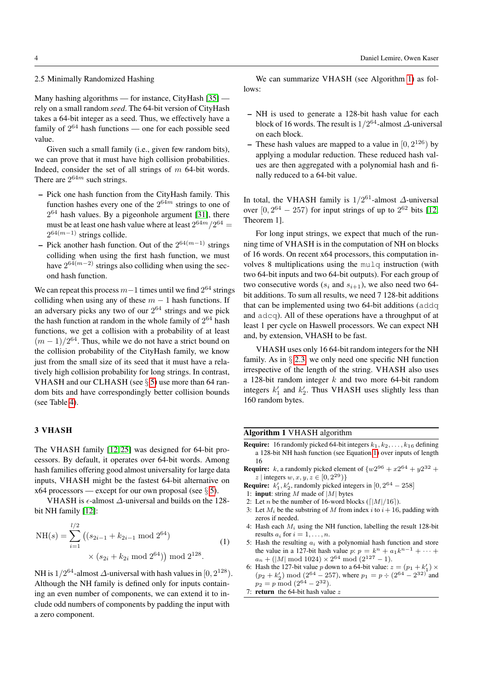## 2.5 Minimally Randomized Hashing

Many hashing algorithms — for instance, CityHash [\[35\]](#page-14-0) rely on a small random *seed*. The 64-bit version of CityHash takes a 64-bit integer as a seed. Thus, we effectively have a family of  $2^{64}$  hash functions — one for each possible seed value.

Given such a small family (i.e., given few random bits), we can prove that it must have high collision probabilities. Indeed, consider the set of all strings of m 64-bit words. There are  $2^{64m}$  such strings.

- Pick one hash function from the CityHash family. This function hashes every one of the  $2^{64m}$  strings to one of  $2^{64}$  hash values. By a pigeonhole argument [\[31\]](#page-13-10), there must be at least one hash value where at least  $2^{64m}/2^{64}=1$  $2^{64(m-1)}$  strings collide.
- Pick another hash function. Out of the  $2^{64(m-1)}$  strings colliding when using the first hash function, we must have  $2^{64(m-2)}$  strings also colliding when using the second hash function.

We can repeat this process  $m-1$  times until we find  $2^{64}$  strings colliding when using any of these  $m - 1$  hash functions. If an adversary picks any two of our  $2^{64}$  strings and we pick the hash function at random in the whole family of  $2^{64}$  hash functions, we get a collision with a probability of at least  $(m-1)/2^{64}$ . Thus, while we do not have a strict bound on the collision probability of the CityHash family, we know just from the small size of its seed that it must have a relatively high collision probability for long strings. In contrast, VHASH and our CLHASH (see § [5\)](#page-8-0) use more than 64 random bits and have correspondingly better collision bounds (see Table [4\)](#page-9-0).

#### 3 VHASH

The VHASH family [\[12,](#page-13-1) [25\]](#page-13-11) was designed for 64-bit processors. By default, it operates over 64-bit words. Among hash families offering good almost universality for large data inputs, VHASH might be the fastest 64-bit alternative on  $x64$  processors — except for our own proposal (see  $\S$  [5\)](#page-8-0).

<span id="page-3-1"></span>VHASH is  $\epsilon$ -almost  $\Delta$ -universal and builds on the 128bit NH family [\[12\]](#page-13-1):

NH(s) = 
$$
\sum_{i=1}^{l/2} ((s_{2i-1} + k_{2i-1} \mod 2^{64})
$$
  
× (s<sub>2i</sub> + k<sub>2i</sub> mod 2<sup>64</sup>)) mod 2<sup>128</sup>. (1)

NH is  $1/2^{64}$ -almost  $\Delta$ -universal with hash values in  $[0, 2^{128})$ . Although the NH family is defined only for inputs containing an even number of components, we can extend it to include odd numbers of components by padding the input with a zero component.

We can summarize VHASH (see Algorithm [1\)](#page-3-0) as follows:

- NH is used to generate a 128-bit hash value for each block of 16 words. The result is  $1/2^{64}$ -almost  $\Delta$ -universal on each block.
- These hash values are mapped to a value in  $[0, 2^{126})$  by applying a modular reduction. These reduced hash values are then aggregated with a polynomial hash and finally reduced to a 64-bit value.

In total, the VHASH family is  $1/2^{61}$ -almost  $\Delta$ -universal over  $[0, 2^{64} - 257)$  for input strings of up to  $2^{62}$  bits [\[12,](#page-13-1) Theorem 1].

For long input strings, we expect that much of the running time of VHASH is in the computation of NH on blocks of 16 words. On recent x64 processors, this computation involves 8 multiplications using the  $mulq$  instruction (with two 64-bit inputs and two 64-bit outputs). For each group of two consecutive words  $(s_i$  and  $s_{i+1}$ ), we also need two 64bit additions. To sum all results, we need 7 128-bit additions that can be implemented using two 64-bit additions (addq and adcq). All of these operations have a throughput of at least 1 per cycle on Haswell processors. We can expect NH and, by extension, VHASH to be fast.

VHASH uses only 16 64-bit random integers for the NH family. As in  $\S$  [2.3,](#page-2-0) we only need one specific NH function irrespective of the length of the string. VHASH also uses a 128-bit random integer  $k$  and two more 64-bit random integers  $k'_1$  and  $k'_2$ . Thus VHASH uses slightly less than 160 random bytes.

## <span id="page-3-0"></span>Algorithm 1 VHASH algorithm

- **Require:** 16 randomly picked 64-bit integers  $k_1, k_2, \ldots, k_{16}$  defining a 128-bit NH hash function (see Equation [1\)](#page-3-1) over inputs of length 16
- **Require:** k, a randomly picked element of  $\{w2^{96} + x2^{64} + y2^{32} +$ *z* | integers  $w, x, y, z \in [0, 2^{29})\}$
- **Require:**  $k'_1, k'_2$ , randomly picked integers in  $[0, 2^{64} 258]$
- 1: **input**: string M made of  $|M|$  bytes
- 2: Let *n* be the number of 16-word blocks ( $\lceil M|/16 \rceil$ ).
- 3: Let  $M_i$  be the substring of M from index i to  $i + 16$ , padding with zeros if needed.
- 4: Hash each  $M_i$  using the NH function, labelling the result 128-bit results  $a_i$  for  $i = 1, \ldots, n$ .
- 5: Hash the resulting  $a_i$  with a polynomial hash function and store the value in a 127-bit hash value  $p: p = k^n + a_1 k^{n-1} + \cdots$  $a_n + (|M| \mod 1024) \times 2^{64} \mod (2^{127} - 1).$
- 6: Hash the 127-bit value p down to a 64-bit value:  $z = (p_1 + k'_1) \times$  $(p_2 + k'_2) \text{ mod } (2^{64} - 257)$ , where  $p_1 = p \div (2^{64} - 2^{32})$  and  $(p_2 + \kappa_2)$  mod  $(2^{\overline{64}} - 2^{32})$ .
- 7: **return** the 64-bit hash value  $z$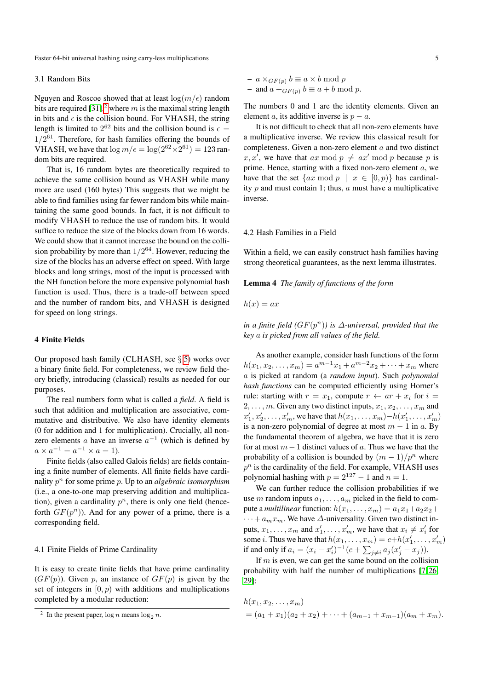## 3.1 Random Bits

Nguyen and Roscoe showed that at least  $log(m/\epsilon)$  random bits are required [\[31\]](#page-13-10),<sup>[2](#page-4-0)</sup> where m is the maximal string length in bits and  $\epsilon$  is the collision bound. For VHASH, the string length is limited to  $2^{62}$  bits and the collision bound is  $\epsilon =$  $1/2^{61}$ . Therefore, for hash families offering the bounds of VHASH, we have that  $\log m/\epsilon = \log(2^{62} \times 2^{61}) = 123$  random bits are required.

That is, 16 random bytes are theoretically required to achieve the same collision bound as VHASH while many more are used (160 bytes) This suggests that we might be able to find families using far fewer random bits while maintaining the same good bounds. In fact, it is not difficult to modify VHASH to reduce the use of random bits. It would suffice to reduce the size of the blocks down from 16 words. We could show that it cannot increase the bound on the collision probability by more than  $1/2^{64}$ . However, reducing the size of the blocks has an adverse effect on speed. With large blocks and long strings, most of the input is processed with the NH function before the more expensive polynomial hash function is used. Thus, there is a trade-off between speed and the number of random bits, and VHASH is designed for speed on long strings.

## 4 Finite Fields

Our proposed hash family (CLHASH, see § [5\)](#page-8-0) works over a binary finite field. For completeness, we review field theory briefly, introducing (classical) results as needed for our purposes.

The real numbers form what is called a *field*. A field is such that addition and multiplication are associative, commutative and distributive. We also have identity elements (0 for addition and 1 for multiplication). Crucially, all nonzero elements *a* have an inverse  $a^{-1}$  (which is defined by  $a \times a^{-1} = a^{-1} \times a = 1$ ).

Finite fields (also called Galois fields) are fields containing a finite number of elements. All finite fields have cardinality p <sup>n</sup> for some prime p. Up to an *algebraic isomorphism* (i.e., a one-to-one map preserving addition and multiplication), given a cardinality  $p<sup>n</sup>$ , there is only one field (henceforth  $GF(p^n)$ ). And for any power of a prime, there is a corresponding field.

#### <span id="page-4-1"></span>4.1 Finite Fields of Prime Cardinality

It is easy to create finite fields that have prime cardinality  $(GF(p))$ . Given p, an instance of  $GF(p)$  is given by the set of integers in  $[0, p)$  with additions and multiplications completed by a modular reduction:

 $-a \times_{GF(p)} b \equiv a \times b \mod p$ – and  $a +_{GF(p)} b \equiv a + b \bmod p$ .

The numbers 0 and 1 are the identity elements. Given an element a, its additive inverse is  $p - a$ .

It is not difficult to check that all non-zero elements have a multiplicative inverse. We review this classical result for completeness. Given a non-zero element a and two distinct  $x, x'$ , we have that  $ax \mod p \neq ax' \mod p$  because p is prime. Hence, starting with a fixed non-zero element  $a$ , we have that the set  $\{ax \mod p \mid x \in [0,p)\}\$  has cardinality  $p$  and must contain 1; thus,  $a$  must have a multiplicative inverse.

## 4.2 Hash Families in a Field

Within a field, we can easily construct hash families having strong theoretical guarantees, as the next lemma illustrates.

<span id="page-4-2"></span>Lemma 4 *The family of functions of the form*

 $h(x) = ax$ 

*in a finite field*  $(GF(p^n))$  *is*  $\Delta$ *-universal, provided that the key* a *is picked from all values of the field.*

As another example, consider hash functions of the form  $h(x_1, x_2, \ldots, x_m) = a^{m-1}x_1 + a^{m-2}x_2 + \cdots + x_m$  where a is picked at random (a *random input*). Such *polynomial hash functions* can be computed efficiently using Horner's rule: starting with  $r = x_1$ , compute  $r \leftarrow ar + x_i$  for  $i =$  $2, \ldots, m$ . Given any two distinct inputs,  $x_1, x_2, \ldots, x_m$  and  $x'_1, x'_2, \ldots, x'_m$ , we have that  $h(x_1, \ldots, x_m) - h(x'_1, \ldots, x'_m)$ is a non-zero polynomial of degree at most  $m - 1$  in a. By the fundamental theorem of algebra, we have that it is zero for at most  $m - 1$  distinct values of a. Thus we have that the probability of a collision is bounded by  $(m-1)/p^n$  where  $p<sup>n</sup>$  is the cardinality of the field. For example, VHASH uses polynomial hashing with  $p = 2^{127} - 1$  and  $n = 1$ .

We can further reduce the collision probabilities if we use m random inputs  $a_1, \ldots, a_m$  picked in the field to compute a *multilinear* function:  $h(x_1, \ldots, x_m) = a_1x_1 + a_2x_2 +$  $\cdots + a_m x_m$ . We have  $\Delta$ -universality. Given two distinct inputs,  $x_1, \ldots, x_m$  and  $x'_1, \ldots, x'_m$ , we have that  $x_i \neq x'_i$  for some *i*. Thus we have that  $h(x_1, \ldots, x_m) = c + h(x'_1, \ldots, x'_m)$ if and only if  $a_i = (x_i - x'_i)^{-1} (c + \sum_{j \neq i} a_j (x'_j - x_j)).$ 

If  $m$  is even, we can get the same bound on the collision probability with half the number of multiplications [\[7,](#page-13-12) [26,](#page-13-13) [29\]](#page-13-14):

 $h(x_1, x_2, \ldots, x_m)$  $=(a_1+x_1)(a_2+x_2)+\cdots+(a_{m-1}+x_{m-1})(a_m+x_m).$ 

<span id="page-4-0"></span><sup>&</sup>lt;sup>2</sup> In the present paper,  $\log n$  means  $\log_2 n$ .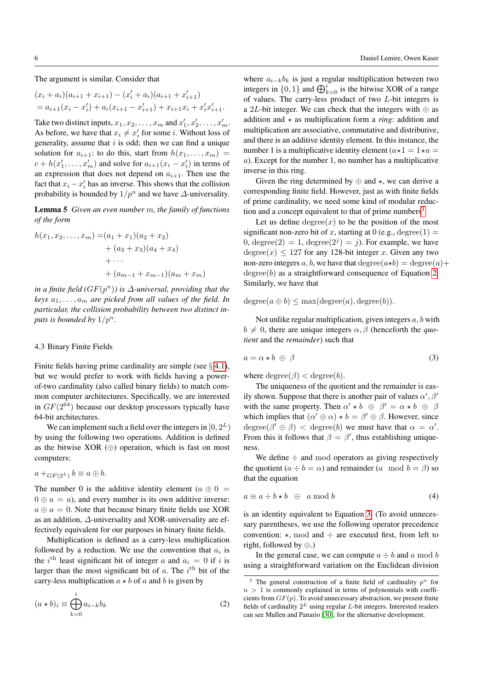The argument is similar. Consider that

$$
(x_i + a_i)(a_{i+1} + x_{i+1}) - (x'_i + a_i)(a_{i+1} + x'_{i+1})
$$
  
=  $a_{i+1}(x_i - x'_i) + a_i(x_{i+1} - x'_{i+1}) + x_{i+1}x_i + x'_i x'_{i+1}.$ 

Take two distinct inputs,  $x_1, x_2, \ldots, x_m$  and  $x'_1, x'_2, \ldots, x'_m$ . As before, we have that  $x_i \neq x'_i$  for some *i*. Without loss of generality, assume that  $i$  is odd; then we can find a unique solution for  $a_{i+1}$ : to do this, start from  $h(x_1, \ldots, x_m)$  =  $c + h(x'_1, \ldots, x'_m)$  and solve for  $a_{i+1}(x_i - x'_i)$  in terms of an expression that does not depend on  $a_{i+1}$ . Then use the fact that  $x_i - x'_i$  has an inverse. This shows that the collision probability is bounded by  $1/p^n$  and we have  $\Delta$ -universality.

<span id="page-5-5"></span>Lemma 5 *Given an even number* m*, the family of functions of the form*

$$
h(x_1, x_2,..., x_m) = (a_1 + x_1)(a_2 + x_2)
$$
  
+  $(a_3 + x_3)(a_4 + x_4)$   
+ ...  
+  $(a_{m-1} + x_{m-1})(a_m + x_m)$ 

*in a finite field (*GF(p <sup>n</sup>)*) is* ∆*-universal, providing that the keys*  $a_1, \ldots, a_m$  *are picked from all values of the field. In particular, the collision probability between two distinct inputs is bounded by*  $1/p^n$ .

#### <span id="page-5-3"></span>4.3 Binary Finite Fields

Finite fields having prime cardinality are simple (see  $\S$  [4.1\)](#page-4-1), but we would prefer to work with fields having a powerof-two cardinality (also called binary fields) to match common computer architectures. Specifically, we are interested in  $GF(2^{64})$  because our desktop processors typically have 64-bit architectures.

We can implement such a field over the integers in  $[0, 2^L)$ by using the following two operations. Addition is defined as the bitwise XOR  $(\oplus)$  operation, which is fast on most computers:

$$
a +_{GF(2^L)} b \equiv a \oplus b.
$$

The number 0 is the additive identity element ( $a \oplus 0 =$  $0 \oplus a = a$ ), and every number is its own additive inverse:  $a \oplus a = 0$ . Note that because binary finite fields use XOR as an addition, ∆-universality and XOR-universality are effectively equivalent for our purposes in binary finite fields.

Multiplication is defined as a carry-less multiplication followed by a reduction. We use the convention that  $a_i$  is the *i*<sup>th</sup> least significant bit of integer a and  $a_i = 0$  if *i* is larger than the most significant bit of  $a$ . The  $i<sup>th</sup>$  bit of the carry-less multiplication  $a \star b$  of a and b is given by

$$
(a \star b)_i \equiv \bigoplus_{k=0}^i a_{i-k} b_k \tag{2}
$$

where  $a_{i-k}b_k$  is just a regular multiplication between two integers in  $\{0, 1\}$  and  $\bigoplus_{k=0}^{i}$  is the bitwise XOR of a range of values. The carry-less product of two L-bit integers is a 2L-bit integer. We can check that the integers with  $\oplus$  as addition and  $\star$  as multiplication form a *ring*: addition and multiplication are associative, commutative and distributive, and there is an additive identity element. In this instance, the number 1 is a multiplicative identity element ( $a \star 1 = 1 \star a$ a). Except for the number 1, no number has a multiplicative inverse in this ring.

Given the ring determined by  $\oplus$  and  $\star$ , we can derive a corresponding finite field. However, just as with finite fields of prime cardinality, we need some kind of modular reduc-tion and a concept equivalent to that of prime numbers<sup>[3](#page-5-0)</sup>.

Let us define  $degree(x)$  to be the position of the most significant non-zero bit of x, starting at 0 (e.g., degree(1) = 0, degree(2) = 1, degree( $2^{j}$ ) = j). For example, we have degree $(x) \le 127$  for any 128-bit integer x. Given any two non-zero integers a, b, we have that  $\text{degree}(a \star b) = \text{degree}(a) +$  $degree(b)$  as a straightforward consequence of Equation [2.](#page-5-1) Similarly, we have that

 $degree(a \oplus b) \leq max(deg(a), degree(b)).$ 

Not unlike regular multiplication, given integers  $a, b$  with  $b \neq 0$ , there are unique integers  $\alpha, \beta$  (henceforth the *quotient* and the *remainder*) such that

<span id="page-5-2"></span>
$$
a = \alpha \star b \ \oplus \ \beta \tag{3}
$$

where  $\text{degree}(\beta) < \text{degree}(b)$ .

The uniqueness of the quotient and the remainder is easily shown. Suppose that there is another pair of values  $\alpha', \beta'$ with the same property. Then  $\alpha' \star b \oplus \beta' = \alpha \star b \oplus \beta$ which implies that  $(\alpha' \oplus \alpha) \star b = \beta' \oplus \beta$ . However, since degree( $\beta' \oplus \beta$ ) < degree(b) we must have that  $\alpha = \alpha'$ . From this it follows that  $\beta = \beta'$ , thus establishing uniqueness.

We define  $\div$  and mod operators as giving respectively the quotient ( $a \div b = \alpha$ ) and remainder (a mod  $b = \beta$ ) so that the equation

<span id="page-5-4"></span>
$$
a \equiv a \div b \star b \quad \oplus \quad a \bmod b \tag{4}
$$

is an identity equivalent to Equation [3.](#page-5-2) (To avoid unnecessary parentheses, we use the following operator precedence convention:  $\star$ , mod and  $\div$  are executed first, from left to right, followed by ⊕.)

In the general case, we can compute  $a \div b$  and a mod b using a straightforward variation on the Euclidean division

<span id="page-5-1"></span><span id="page-5-0"></span><sup>&</sup>lt;sup>3</sup> The general construction of a finite field of cardinality  $p^n$  for  $n > 1$  is commonly explained in terms of polynomials with coefficients from  $GF(p)$ . To avoid unnecessary abstraction, we present finite fields of cardinality  $2^L$  using regular L-bit integers. Interested readers can see Mullen and Panario [\[30\]](#page-13-15), for the alternative development.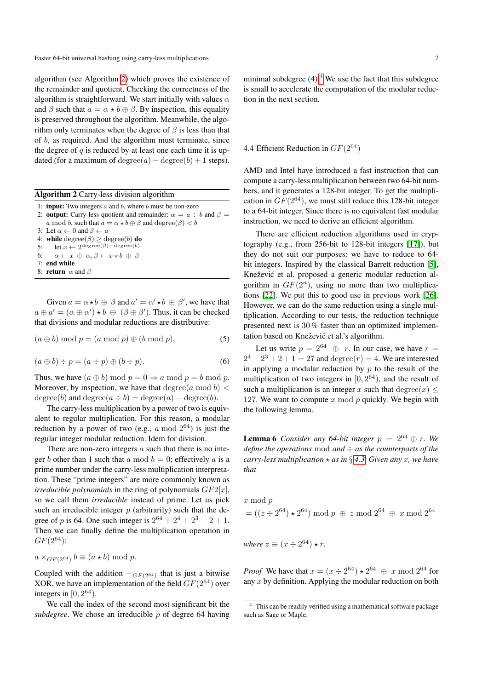algorithm (see Algorithm [2\)](#page-6-0) which proves the existence of the remainder and quotient. Checking the correctness of the algorithm is straightforward. We start initially with values  $\alpha$ and  $\beta$  such that  $a = \alpha * b \oplus \beta$ . By inspection, this equality is preserved throughout the algorithm. Meanwhile, the algorithm only terminates when the degree of  $\beta$  is less than that of b, as required. And the algorithm must terminate, since the degree of  $q$  is reduced by at least one each time it is updated (for a maximum of degree $(a)$  – degree $(b)$  + 1 steps).

<span id="page-6-0"></span>

|  | Algorithm 2 Carry-less division algorithm |  |  |  |  |  |  |
|--|-------------------------------------------|--|--|--|--|--|--|
|--|-------------------------------------------|--|--|--|--|--|--|

| 1: <b>input:</b> Two integers $a$ and $b$ , where $b$ must be non-zero                 |
|----------------------------------------------------------------------------------------|
| 2: <b>output:</b> Carry-less quotient and remainder: $\alpha = a \div b$ and $\beta =$ |
| a mod b, such that $a = \alpha * b \oplus \beta$ and degree( $\beta$ ) < b             |
| 3: Let $\alpha \leftarrow 0$ and $\beta \leftarrow a$                                  |
| 4: while $degree(\beta) > degree(b)$ do                                                |
| 5: let $x \leftarrow 2^{\text{degree}(\beta) - \text{degree}(b)}$                      |
| 6: $\alpha \leftarrow x \oplus \alpha, \beta \leftarrow x \star b \oplus \beta$        |
| 7: end while                                                                           |
| 8: <b>return</b> $\alpha$ and $\beta$                                                  |
|                                                                                        |

Given  $a = \alpha \star b \oplus \beta$  and  $a' = \alpha' \star b \oplus \beta'$ , we have that  $a \oplus a' = (\alpha \oplus \alpha') \star b \oplus (\beta \oplus \beta')$ . Thus, it can be checked that divisions and modular reductions are distributive:

$$
(a \oplus b) \bmod p = (a \bmod p) \oplus (b \bmod p), \tag{5}
$$

$$
(a \oplus b) \div p = (a \div p) \oplus (b \div p). \tag{6}
$$

Thus, we have  $(a \oplus b) \bmod p = 0 \Rightarrow a \bmod p = b \bmod p$ . Moreover, by inspection, we have that degree(a mod b)  $\lt$ degree(b) and degree( $a \div b$ ) = degree( $a$ ) – degree(b).

The carry-less multiplication by a power of two is equivalent to regular multiplication. For this reason, a modular reduction by a power of two (e.g.,  $a \mod 2^{64}$ ) is just the regular integer modular reduction. Idem for division.

There are non-zero integers  $a$  such that there is no integer b other than 1 such that a mod  $b = 0$ ; effectively a is a prime number under the carry-less multiplication interpretation. These "prime integers" are more commonly known as *irreducible polynomials* in the ring of polynomials  $GF2[x]$ , so we call them *irreducible* instead of prime. Let us pick such an irreducible integer  $p$  (arbitrarily) such that the degree of p is 64. One such integer is  $2^{64} + 2^4 + 2^3 + 2 + 1$ . Then we can finally define the multiplication operation in  $GF(2^{64})$ :

$$
a \times_{GF(2^{64})} b \equiv (a \star b) \bmod p.
$$

Coupled with the addition  $+_{GF(2^{64})}$  that is just a bitwise XOR, we have an implementation of the field  $GF(2^{64})$  over integers in  $[0, 2^{64})$ .

We call the index of the second most significant bit the *subdegree*. We chose an irreducible p of degree 64 having

minimal subdegree  $(4)$  $(4)$  $(4)$ .<sup>4</sup> We use the fact that this subdegree is small to accelerate the computation of the modular reduction in the next section.

<span id="page-6-4"></span>4.4 Efficient Reduction in  $GF(2^{64})$ 

AMD and Intel have introduced a fast instruction that can compute a carry-less multiplication between two 64-bit numbers, and it generates a 128-bit integer. To get the multiplication in  $GF(2^{64})$ , we must still reduce this 128-bit integer to a 64-bit integer. Since there is no equivalent fast modular instruction, we need to derive an efficient algorithm.

There are efficient reduction algorithms used in cryptography (e.g., from 256-bit to 128-bit integers [\[17\]](#page-13-16)), but they do not suit our purposes: we have to reduce to 64 bit integers. Inspired by the classical Barrett reduction [\[5\]](#page-13-17), Knežević et al. proposed a generic modular reduction algorithm in  $GF(2<sup>n</sup>)$ , using no more than two multiplications [\[22\]](#page-13-18). We put this to good use in previous work [\[26\]](#page-13-13). However, we can do the same reduction using a single multiplication. According to our tests, the reduction technique presented next is 30 % faster than an optimized implementation based on Knežević et al.'s algorithm.

<span id="page-6-2"></span>Let us write  $p = 2^{64} \oplus r$ . In our case, we have  $r =$  $2^4 + 2^3 + 2 + 1 = 27$  and degree(r) = 4. We are interested in applying a modular reduction by  $p$  to the result of the multiplication of two integers in  $[0, 2^{64})$ , and the result of such a multiplication is an integer x such that degree $(x) \leq$ 127. We want to compute  $x \mod p$  quickly. We begin with the following lemma.

<span id="page-6-3"></span>**Lemma 6** *Consider any 64-bit integer*  $p = 2^{64} \oplus r$ *. We define the operations* mod *and* ÷ *as the counterparts of the carry-less multiplication*  $\star$  *as in* § [4.3.](#page-5-3) *Given any x*, *we have that*

x mod p  $= ((z \div 2^{64}) \star 2^{64}) \bmod p \, \oplus \, z \bmod 2^{64} \, \oplus \, x \bmod 2^{64}$ 

*where*  $z \equiv (x \div 2^{64}) \star r$ .

*Proof* We have that  $x = (x \div 2^{64}) \times 2^{64} \oplus x \mod 2^{64}$  for any  $x$  by definition. Applying the modular reduction on both

<span id="page-6-1"></span><sup>4</sup> This can be readily verified using a mathematical software package such as Sage or Maple.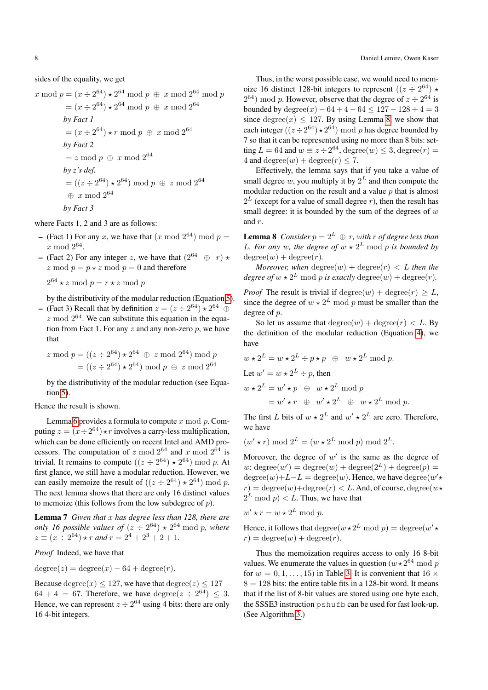sides of the equality, we get

$$
x \mod p = (x \div 2^{64}) \star 2^{64} \mod p \oplus x \mod 2^{64} \mod p
$$
  
=  $(x \div 2^{64}) \star 2^{64} \mod p \oplus x \mod 2^{64}$   
*by Fact 1*  
=  $(x \div 2^{64}) \star r \mod p \oplus x \mod 2^{64}$   
*by Fact 2*  
=  $z \mod p \oplus x \mod 2^{64}$   
*by z's def.*  
=  $((z \div 2^{64}) \star 2^{64}) \mod p \oplus z \mod 2^{64}$   
 $\oplus x \mod 2^{64}$   
*by Fact 3*

where Facts 1, 2 and 3 are as follows:

- (Fact 1) For any x, we have that  $(x \mod 2^{64}) \mod p =$  $x \bmod 2^{64}$ .
- (Fact 2) For any integer z, we have that  $(2^{64} \oplus r) \star$  $z \mod p = p \star z \mod p = 0$  and therefore

 $2^{64} \star z \bmod p = r * z \bmod p$ 

by the distributivity of the modular reduction (Equation [5\)](#page-6-2).

- (Fact 3) Recall that by definition  $z = (z \div 2^{64}) \times 2^{64} \oplus$  $z \mod 2^{64}$ . We can substitute this equation in the equation from Fact 1. For any  $z$  and any non-zero  $p$ , we have that

$$
z \bmod p = ((z \div 2^{64}) \star 2^{64} \oplus z \bmod 2^{64}) \bmod p
$$
  
= ((z \div 2^{64}) \star 2^{64}) \bmod p \oplus z \bmod 2^{64}

by the distributivity of the modular reduction (see Equation [5\)](#page-6-2).

Hence the result is shown.

Lemma [6](#page-6-3) provides a formula to compute  $x \mod p$ . Computing  $z = (x \div 2^{64}) \star r$  involves a carry-less multiplication, which can be done efficiently on recent Intel and AMD processors. The computation of z mod  $2^{64}$  and x mod  $2^{64}$  is trivial. It remains to compute  $((z \div 2^{64}) \times 2^{64}) \bmod p$ . At first glance, we still have a modular reduction. However, we can easily memoize the result of  $((z \div 2^{64}) \times 2^{64})$  mod p. The next lemma shows that there are only 16 distinct values to memoize (this follows from the low subdegree of  $p$ ).

Lemma 7 *Given that* x *has degree less than 128, there are only 16 possible values of*  $(z \div 2^{64}) \times 2^{64} \text{ mod } p$ *, where*  $z \equiv (x \div 2^{64}) \star r$  and  $r = 2^4 + 2^3 + 2 + 1$ .

*Proof* Indeed, we have that

 $degree(z) = degree(x) - 64 + degree(r).$ 

Because degree $(x)$  < 127, we have that degree $(z)$  < 127 $64 + 4 = 67$ . Therefore, we have degree $(z \div 2^{64}) \leq 3$ . Hence, we can represent  $z \div 2^{64}$  using 4 bits: there are only 16 4-bit integers.

Thus, in the worst possible case, we would need to memoize 16 distinct 128-bit integers to represent  $((z \div 2^{64}) \star$  $2^{64}$ ) mod p. However, observe that the degree of  $z \div 2^{64}$  is bounded by degree $(x) - 64 + 4 - 64 \le 127 - 128 + 4 = 3$ since degree $(x) \le 127$ . By using Lemma [8,](#page-7-0) we show that each integer  $((z \div 2^{64}) \times 2^{64})$  mod p has degree bounded by 7 so that it can be represented using no more than 8 bits: setting  $L = 64$  and  $w \equiv z \div 2^{64}$ , degree $(w) \leq 3$ , degree $(r)$ 4 and degree $(w)$  + degree $(r) \leq 7$ .

Effectively, the lemma says that if you take a value of small degree  $w$ , you multiply it by  $2^L$  and then compute the modular reduction on the result and a value  $p$  that is almost  $2^L$  (except for a value of small degree r), then the result has small degree: it is bounded by the sum of the degrees of  $w$ and r.

<span id="page-7-0"></span>**Lemma 8** *Consider*  $p = 2^L \oplus r$ *, with* r *of degree less than* L. For any w, the degree of  $w \star 2^L \bmod p$  is bounded by  $degree(w) + degree(r)$ .

*Moreover, when*  $degree(w) + degree(r) < L$  *then the degree of*  $w \star 2^L \mod p$  *is exactly* degree $(w) + \text{degree}(r)$ *.* 

*Proof* The result is trivial if  $degree(w) + degree(r) > L$ , since the degree of  $w \star 2^L \mod p$  must be smaller than the degree of p.

So let us assume that  $degree(w) + degree(r) < L$ . By the definition of the modular reduction (Equation [4\)](#page-5-4), we have

$$
w \star 2^{L} = w \star 2^{L} \div p \star p \quad \oplus \quad w \star 2^{L} \mod p.
$$
  
Let  $w' = w \star 2^{L} \div p$ , then  

$$
w \star 2^{L} = w' \star p \quad \oplus \quad w \star 2^{L} \mod p
$$

$$
= w' \star r \quad \oplus \quad w' \star 2^{L} \quad \oplus \quad w \star 2^{L} \mod p.
$$

The first L bits of  $w \star 2^L$  and  $w' \star 2^L$  are zero. Therefore, we have

$$
(w' \star r) \bmod 2^L = (w \star 2^L \bmod p) \bmod 2^L.
$$

Moreover, the degree of  $w'$  is the same as the degree of w: degree $(w') = \text{degree}(w) + \text{degree}(2^L) + \text{degree}(p) =$ degree $(w)+L-L = \text{degree}(w)$ . Hence, we have degree $(w')$  $r) = \text{degree}(w) + \text{degree}(r) < L$ . And, of course, degree(w $\star$  $2^L \bmod p < L$ . Thus, we have that

$$
w' \star r = w \star 2^L \bmod p.
$$

Hence, it follows that degree $(w \star 2^L \mod p) = \text{degree}(w' \star)$  $r$ ) = degree $(w)$  + degree $(r)$ .

Thus the memoization requires access to only 16 8-bit values. We enumerate the values in question ( $w \star 2^{64} \text{ mod } p$ for  $w = 0, 1, \ldots, 15$  in Table [3.](#page-8-1) It is convenient that  $16 \times$  $8 = 128$  bits: the entire table fits in a 128-bit word. It means that if the list of 8-bit values are stored using one byte each, the SSSE3 instruction pshufb can be used for fast look-up. (See Algorithm [3.](#page-8-2))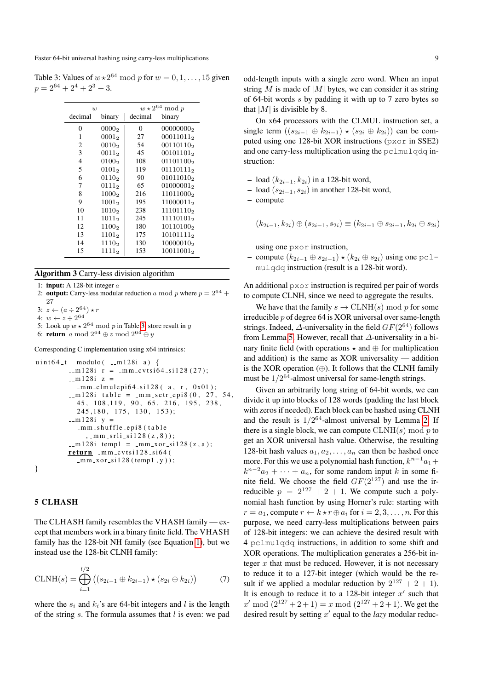<span id="page-8-1"></span>Table 3: Values of  $w \star 2^{64} \mod p$  for  $w = 0, 1, \ldots, 15$  given  $p = 2^{64} + 2^4 + 2^3 + 3.$ 

| $w \star 2^{64}$<br>$\mod p$<br>$\overline{u}$ |                   |          |                       |
|------------------------------------------------|-------------------|----------|-----------------------|
| decimal                                        | binary            | decimal  | binary                |
| 0                                              | 0000 <sub>2</sub> | $\Omega$ | 00000000 <sub>2</sub> |
| 1                                              | $0001_{2}$        | 27       | $00011011_2$          |
| 2                                              | 0010 <sub>2</sub> | 54       | 001101102             |
| 3                                              | $0011_2$          | 45       | $00101101_2$          |
| 4                                              | 0100 <sub>2</sub> | 108      | 011011002             |
| 5                                              | $0101_2$          | 119      | $01110111_2$          |
| 6                                              | 0110 <sub>2</sub> | 90       | $01011010_2$          |
| 7                                              | $0111_2$          | 65       | 010000012             |
| 8                                              | 1000 <sub>2</sub> | 216      | 110110002             |
| 9                                              | $1001_2$          | 195      | 110000112             |
| 10                                             | 1010 <sub>2</sub> | 238      | 111011102             |
| 11                                             | $1011_2$          | 245      | 111101012             |
| 12                                             | 1100 <sub>2</sub> | 180      | 101101002             |
| 13                                             | $1101_2$          | 175      | $10101111_2$          |
| 14                                             | 1110 <sub>2</sub> | 130      | 100000102             |
| 15                                             | $1111_2$          | 153      | $10011001_2$          |

#### <span id="page-8-2"></span>Algorithm 3 Carry-less division algorithm

1: **input:** A 128-bit integer  $a$ 

- 2: **output:** Carry-less modular reduction a mod p where  $p = 2^{64} +$ 27
- 3:  $z \leftarrow (a \div 2^{64}) \star r$
- 4:  $w \leftarrow z \div 2^{64}$
- 5: Look up  $w \star 2^{64} \mod p$  in Table [3,](#page-8-1) store result in y
- 6: return a mod  $2^{64} \oplus z \mod 2^{64} \oplus y$

Corresponding C implementation using x64 intrinsics:

```
uint64<sub>-</sub>t modulo (\text{--}m128i a) {
         -m 1 28i r = -m m c v t s i 64 -si128 (27);
         -m 1 2 8i z =_mm_clmulepi64_si128(a,r,0x01);
         -m 1 2 8i table = mm\_setr epi8 (0, 27, 54, )45, 108, 119, 90, 65, 216, 195, 238,
           245, 180, 175, 130, 153;
         -m 1 2 8i y =
            mm shuffle epi8 (table
              , \text{mm} srli _si 1 2 8 ( z , 8 ) );
         -m 1 2 8i temp1 = mm_xor-si128(z, a);
         return mm cv tsi 128 -si64 (
           mm_xor_si128 (temp1, y);
}
```
#### <span id="page-8-0"></span>5 CLHASH

The CLHASH family resembles the VHASH family — except that members work in a binary finite field. The VHASH family has the 128-bit NH family (see Equation [1\)](#page-3-1), but we instead use the 128-bit CLNH family:

<span id="page-8-3"></span>CLNH(s) = 
$$
\bigoplus_{i=1}^{l/2} ((s_{2i-1} \oplus k_{2i-1}) \star (s_{2i} \oplus k_{2i}))
$$
 (7)

where the  $s_i$  and  $k_i$ 's are 64-bit integers and l is the length of the string  $s$ . The formula assumes that  $l$  is even: we pad odd-length inputs with a single zero word. When an input string M is made of  $|M|$  bytes, we can consider it as string of 64-bit words s by padding it with up to 7 zero bytes so that  $|M|$  is divisible by 8.

On x64 processors with the CLMUL instruction set, a single term  $((s_{2i-1} \oplus k_{2i-1}) \star (s_{2i} \oplus k_{2i}))$  can be computed using one 128-bit XOR instructions (pxor in SSE2) and one carry-less multiplication using the pclmulqdq instruction:

- load  $(k_{2i-1}, k_{2i})$  in a 128-bit word,
- load  $(s_{2i-1}, s_{2i})$  in another 128-bit word,

– compute

$$
(k_{2i-1}, k_{2i}) \oplus (s_{2i-1}, s_{2i}) \equiv (k_{2i-1} \oplus s_{2i-1}, k_{2i} \oplus s_{2i})
$$

using one pxor instruction,

– compute  $(k_{2i-1} \oplus s_{2i-1}) \star (k_{2i} \oplus s_{2i})$  using one pclmulqdq instruction (result is a 128-bit word).

An additional pxor instruction is required per pair of words to compute CLNH, since we need to aggregate the results.

We have that the family  $s \to \text{CLNH}(s) \text{ mod } p$  for some irreducible  $p$  of degree 64 is XOR universal over same-length strings. Indeed,  $\Delta$ -universality in the field  $GF(2^{64})$  follows from Lemma [5.](#page-5-5) However, recall that  $\Delta$ -universality in a binary finite field (with operations  $\star$  and  $\oplus$  for multiplication and addition) is the same as XOR universality — addition is the XOR operation  $(\oplus)$ . It follows that the CLNH family must be  $1/2^{64}$ -almost universal for same-length strings.

Given an arbitrarily long string of 64-bit words, we can divide it up into blocks of 128 words (padding the last block with zeros if needed). Each block can be hashed using CLNH and the result is  $1/2^{64}$ -almost universal by Lemma [2.](#page-2-1) If there is a single block, we can compute  $CLNH(s) \mod p$  to get an XOR universal hash value. Otherwise, the resulting 128-bit hash values  $a_1, a_2, \ldots, a_n$  can then be hashed once more. For this we use a polynomial hash function,  $k^{n-1}a_1 +$  $k^{n-2}a_2 + \cdots + a_n$ , for some random input k in some finite field. We choose the field  $GF(2^{127})$  and use the irreducible  $p = 2^{127} + 2 + 1$ . We compute such a polynomial hash function by using Horner's rule: starting with  $r = a_1$ , compute  $r \leftarrow k \star r \oplus a_i$  for  $i = 2, 3, \ldots, n$ . For this purpose, we need carry-less multiplications between pairs of 128-bit integers: we can achieve the desired result with 4 pclmulqdq instructions, in addition to some shift and XOR operations. The multiplication generates a 256-bit integer  $x$  that must be reduced. However, it is not necessary to reduce it to a 127-bit integer (which would be the result if we applied a modular reduction by  $2^{127} + 2 + 1$ ). It is enough to reduce it to a 128-bit integer  $x'$  such that  $x' \bmod (2^{127} + 2 + 1) = x \bmod (2^{127} + 2 + 1)$ . We get the desired result by setting  $x'$  equal to the *lazy* modular reduc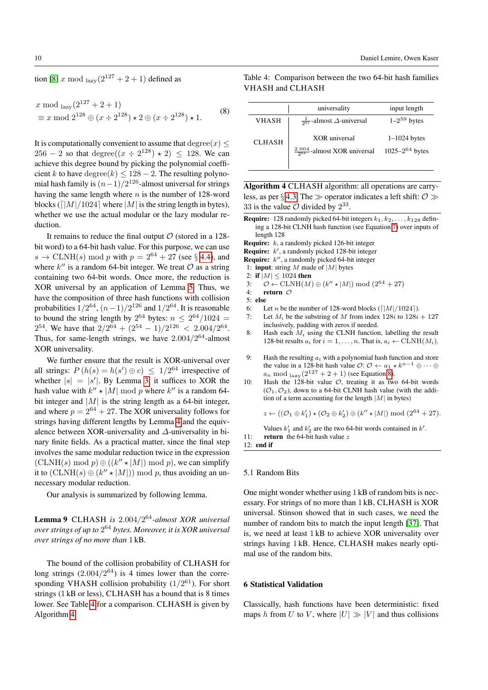tion [\[8\]](#page-13-19) x mod  $_{\text{lazy}}(2^{127} + 2 + 1)$  defined as

$$
x \mod_{\text{lazy}}(2^{127} + 2 + 1)
$$
  
\n
$$
\equiv x \mod 2^{128} \oplus (x \div 2^{128}) \star 2 \oplus (x \div 2^{128}) \star 1.
$$
 (8)

It is computationally convenient to assume that  $\text{degree}(x)$  <  $256 - 2$  so that degree $((x \div 2^{128}) \times 2) \le 128$ . We can achieve this degree bound by picking the polynomial coefficient k to have degree(k)  $\leq 128 - 2$ . The resulting polynomial hash family is  $(n-1)/2^{126}$ -almost universal for strings having the same length where  $n$  is the number of 128-word blocks ( $\lceil |M|/1024 \rceil$  where  $|M|$  is the string length in bytes), whether we use the actual modular or the lazy modular reduction.

It remains to reduce the final output  $O$  (stored in a 128bit word) to a 64-bit hash value. For this purpose, we can use  $s \to \text{CLNH}(s) \text{ mod } p$  with  $p = 2^{64} + 27$  (see § [4.4\)](#page-6-4), and where  $k''$  is a random 64-bit integer. We treat  $\mathcal O$  as a string containing two 64-bit words. Once more, the reduction is XOR universal by an application of Lemma [5.](#page-5-5) Thus, we have the composition of three hash functions with collision probabilities  $1/2^{64}$ ,  $(n-1)/2^{126}$  and  $1/2^{64}$ . It is reasonable to bound the string length by  $2^{64}$  bytes:  $n \le 2^{64}/1024 =$  $2^{54}$ . We have that  $2/2^{64} + (2^{54} - 1)/2^{126} < 2.004/2^{64}$ . Thus, for same-length strings, we have  $2.004/2^{64}$ -almost XOR universality.

We further ensure that the result is XOR-universal over all strings:  $P(h(s) = h(s') \oplus c) \leq 1/2^{64}$  irrespective of whether  $|s| = |s'|$ . By Lemma [3,](#page-2-2) it suffices to XOR the hash value with  $k'' \star |M| \bmod p$  where  $k''$  is a random 64bit integer and  $|M|$  is the string length as a 64-bit integer, and where  $p = 2^{64} + 27$ . The XOR universality follows for strings having different lengths by Lemma [4](#page-4-2) and the equivalence between XOR-universality and  $\Delta$ -universality in binary finite fields. As a practical matter, since the final step involves the same modular reduction twice in the expression  $(CLNH(s) \mod p) \oplus ((k'' \star |M|) \mod p)$ , we can simplify it to  $(\text{CLNH}(s) \oplus (k'' \star |M|)) \bmod p$ , thus avoiding an unnecessary modular reduction.

Our analysis is summarized by following lemma.

Lemma 9 CLHASH *is* 2.004/2 <sup>64</sup>*-almost XOR universal over strings of up to* 2 <sup>64</sup> *bytes. Moreover, it is XOR universal over strings of no more than* 1 kB*.*

The bound of the collision probability of CLHASH for long strings  $(2.004/2^{64})$  is 4 times lower than the corresponding VHASH collision probability  $(1/2^{61})$ . For short strings (1 kB or less), CLHASH has a bound that is 8 times lower. See Table [4](#page-9-0) for a comparison. CLHASH is given by Algorithm [4.](#page-9-1)

<span id="page-9-2"></span><span id="page-9-0"></span>Table 4: Comparison between the two 64-bit hash families VHASH and CLHASH

|               | universality                                               | input length                         |
|---------------|------------------------------------------------------------|--------------------------------------|
| VHASH         | $\frac{1}{261}$ -almost $\Delta$ -universal                | $1-2^{59}$ bytes                     |
| <b>CLHASH</b> | XOR universal<br>$\frac{2.004}{264}$ -almost XOR universal | $1-1024$ bytes<br>$1025 - 264$ bytes |
|               |                                                            |                                      |

<span id="page-9-1"></span>Algorithm 4 CLHASH algorithm: all operations are carry-less, as per § [4.3.](#page-5-3) The  $\gg$  operator indicates a left shift:  $\mathcal{O} \gg$ 33 is the value  $\mathcal O$  divided by  $2^{33}$ .

- **Require:** 128 randomly picked 64-bit integers  $k_1, k_2, \ldots, k_{128}$  defining a 128-bit CLNH hash function (see Equation [7\)](#page-8-3) over inputs of length 128
- Require: k, a randomly picked 126-bit integer
- **Require:**  $k'$ , a randomly picked 128-bit integer
- **Require:**  $k''$ , a randomly picked 64-bit integer
- 1: **input**: string  $M$  made of  $|M|$  bytes
- 2: if  $|M| < 1024$  then

3: 
$$
\mathcal{O} \leftarrow \text{CLNH}(M) \oplus (k'' \star |M|) \mod (2^{64} + 27)
$$

- 4: return O
- 5: else
- 6: Let *n* be the number of 128-word blocks ( $\lceil |M|/1024 \rceil$ ).
- 7: Let  $M_i$  be the substring of M from index  $128i$  to  $128i + 127$ inclusively, padding with zeros if needed.
- 8: Hash each  $M_i$  using the CLNH function, labelling the result 128-bit results  $a_i$  for  $i = 1, ..., n$ . That is,  $a_i \leftarrow \text{CLNH}(M_i)$ .
- 9: Hash the resulting  $a_i$  with a polynomial hash function and store the value in a 128-bit hash value  $\mathcal{O}$ :  $\mathcal{O} \leftarrow a_1 \star k^{n-1} \oplus \cdots \oplus$  $a_n$  mod  $a_{\text{lazy}}(2^{127} + 2 + 1)$  (see Equation [8\)](#page-9-2).
- 10: Hash the 128-bit value  $\mathcal{O}$ , treating it as two 64-bit words  $(\mathcal{O}_1, \mathcal{O}_2)$ , down to a 64-bit CLNH hash value (with the addition of a term accounting for the length  $|M|$  in bytes)

$$
z \leftarrow ((\mathcal{O}_1 \oplus k'_1) \star (\mathcal{O}_2 \oplus k'_2) \oplus (k'' \star |M|) \bmod (2^{64} + 27).
$$

Values  $k'_1$  and  $k'_2$  are the two 64-bit words contained in  $k'$ .

11: **return** the 64-bit hash value z

12: end if

#### 5.1 Random Bits

One might wonder whether using 1 kB of random bits is necessary. For strings of no more than 1 kB, CLHASH is XOR universal. Stinson showed that in such cases, we need the number of random bits to match the input length [\[37\]](#page-14-2). That is, we need at least 1 kB to achieve XOR universality over strings having 1 kB. Hence, CLHASH makes nearly optimal use of the random bits.

## 6 Statistical Validation

Classically, hash functions have been deterministic: fixed maps h from U to V, where  $|U| \gg |V|$  and thus collisions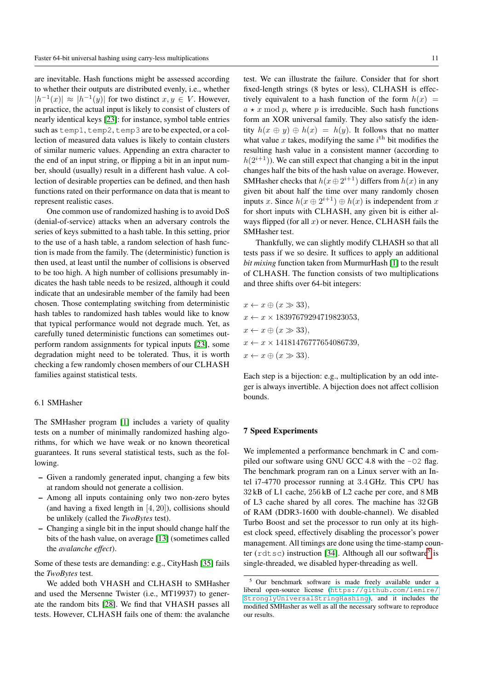are inevitable. Hash functions might be assessed according to whether their outputs are distributed evenly, i.e., whether  $|h^{-1}(x)| \approx |h^{-1}(y)|$  for two distinct  $x, y \in V$ . However, in practice, the actual input is likely to consist of clusters of nearly identical keys [\[23\]](#page-13-20): for instance, symbol table entries such as temp1, temp2, temp3 are to be expected, or a collection of measured data values is likely to contain clusters of similar numeric values. Appending an extra character to the end of an input string, or flipping a bit in an input number, should (usually) result in a different hash value. A collection of desirable properties can be defined, and then hash functions rated on their performance on data that is meant to represent realistic cases.

One common use of randomized hashing is to avoid DoS (denial-of-service) attacks when an adversary controls the series of keys submitted to a hash table. In this setting, prior to the use of a hash table, a random selection of hash function is made from the family. The (deterministic) function is then used, at least until the number of collisions is observed to be too high. A high number of collisions presumably indicates the hash table needs to be resized, although it could indicate that an undesirable member of the family had been chosen. Those contemplating switching from deterministic hash tables to randomized hash tables would like to know that typical performance would not degrade much. Yet, as carefully tuned deterministic functions can sometimes outperform random assignments for typical inputs [\[23\]](#page-13-20), some degradation might need to be tolerated. Thus, it is worth checking a few randomly chosen members of our CLHASH families against statistical tests.

## 6.1 SMHasher

The SMHasher program [\[1\]](#page-13-21) includes a variety of quality tests on a number of minimally randomized hashing algorithms, for which we have weak or no known theoretical guarantees. It runs several statistical tests, such as the following.

- Given a randomly generated input, changing a few bits at random should not generate a collision.
- Among all inputs containing only two non-zero bytes (and having a fixed length in [4, 20]), collisions should be unlikely (called the *TwoBytes* test).
- Changing a single bit in the input should change half the bits of the hash value, on average [\[13\]](#page-13-22) (sometimes called the *avalanche effect*).

Some of these tests are demanding: e.g., CityHash [\[35\]](#page-14-0) fails the *TwoBytes* test.

We added both VHASH and CLHASH to SMHasher and used the Mersenne Twister (i.e., MT19937) to generate the random bits [\[28\]](#page-13-23). We find that VHASH passes all tests. However, CLHASH fails one of them: the avalanche

test. We can illustrate the failure. Consider that for short fixed-length strings (8 bytes or less), CLHASH is effectively equivalent to a hash function of the form  $h(x) =$  $a \star x \mod p$ , where p is irreducible. Such hash functions form an XOR universal family. They also satisfy the identity  $h(x \oplus y) \oplus h(x) = h(y)$ . It follows that no matter what value  $x$  takes, modifying the same  $i<sup>th</sup>$  bit modifies the resulting hash value in a consistent manner (according to  $h(2^{i+1})$ ). We can still expect that changing a bit in the input changes half the bits of the hash value on average. However, SMHasher checks that  $h(x \oplus 2^{i+1})$  differs from  $h(x)$  in any given bit about half the time over many randomly chosen inputs x. Since  $h(x \oplus 2^{i+1}) \oplus h(x)$  is independent from x for short inputs with CLHASH, any given bit is either always flipped (for all  $x$ ) or never. Hence, CLHASH fails the SMHasher test.

Thankfully, we can slightly modify CLHASH so that all tests pass if we so desire. It suffices to apply an additional *bit mixing* function taken from MurmurHash [\[1\]](#page-13-21) to the result of CLHASH. The function consists of two multiplications and three shifts over 64-bit integers:

 $x \leftarrow x \oplus (x \gg 33),$  $x \leftarrow x \times 18397679294719823053,$  $x \leftarrow x \oplus (x \gg 33),$  $x \leftarrow x \times 14181476777654086739$  $x \leftarrow x \oplus (x \gg 33).$ 

Each step is a bijection: e.g., multiplication by an odd integer is always invertible. A bijection does not affect collision bounds.

#### 7 Speed Experiments

We implemented a performance benchmark in C and compiled our software using GNU GCC 4.8 with the -02 flag. The benchmark program ran on a Linux server with an Intel i7-4770 processor running at 3.4 GHz. This CPU has 32 kB of L1 cache, 256 kB of L2 cache per core, and 8 MB of L3 cache shared by all cores. The machine has 32 GB of RAM (DDR3-1600 with double-channel). We disabled Turbo Boost and set the processor to run only at its highest clock speed, effectively disabling the processor's power management. All timings are done using the time-stamp counter ( $rdtsc$ ) instruction [\[34\]](#page-14-3). Although all our software<sup>[5](#page-10-0)</sup> is single-threaded, we disabled hyper-threading as well.

<span id="page-10-0"></span><sup>5</sup> Our benchmark software is made freely available under a liberal open-source license ([https://github.com/lemire/](https://github.com/lemire/StronglyUniversalStringHashing) [StronglyUniversalStringHashing](https://github.com/lemire/StronglyUniversalStringHashing)), and it includes the modified SMHasher as well as all the necessary software to reproduce our results.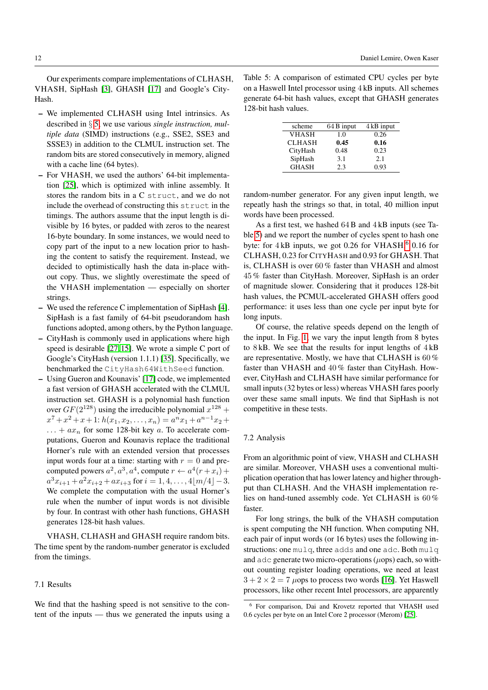Our experiments compare implementations of CLHASH, VHASH, SipHash [\[3\]](#page-13-0), GHASH [\[17\]](#page-13-16) and Google's City-Hash.

- We implemented CLHASH using Intel intrinsics. As described in § [5,](#page-8-0) we use various *single instruction, multiple data* (SIMD) instructions (e.g., SSE2, SSE3 and SSSE3) in addition to the CLMUL instruction set. The random bits are stored consecutively in memory, aligned with a cache line (64 bytes).
- For VHASH, we used the authors' 64-bit implementation [\[25\]](#page-13-11), which is optimized with inline assembly. It stores the random bits in a C struct, and we do not include the overhead of constructing this struct in the timings. The authors assume that the input length is divisible by 16 bytes, or padded with zeros to the nearest 16-byte boundary. In some instances, we would need to copy part of the input to a new location prior to hashing the content to satisfy the requirement. Instead, we decided to optimistically hash the data in-place without copy. Thus, we slightly overestimate the speed of the VHASH implementation — especially on shorter strings.
- We used the reference C implementation of SipHash [\[4\]](#page-13-24). SipHash is a fast family of 64-bit pseudorandom hash functions adopted, among others, by the Python language.
- CityHash is commonly used in applications where high speed is desirable [\[27,](#page-13-25) [15\]](#page-13-26). We wrote a simple C port of Google's CityHash (version 1.1.1) [\[35\]](#page-14-0). Specifically, we benchmarked the CityHash64WithSeed function.
- Using Gueron and Kounavis' [\[17\]](#page-13-16) code, we implemented a fast version of GHASH accelerated with the CLMUL instruction set. GHASH is a polynomial hash function over  $GF(2^{128})$  using the irreducible polynomial  $x^{128} +$  $x^{7} + x^{2} + x + 1$ :  $h(x_{1}, x_{2}, \ldots, x_{n}) = a^{n}x_{1} + a^{n-1}x_{2} +$  $\ldots$  +  $ax_n$  for some 128-bit key a. To accelerate computations, Gueron and Kounavis replace the traditional Horner's rule with an extended version that processes input words four at a time: starting with  $r = 0$  and precomputed powers  $a^2$ ,  $a^3$ ,  $a^4$ , compute  $r \leftarrow a^4(r + x_i) +$  $a^3x_{i+1} + a^2x_{i+2} + ax_{i+3}$  for  $i = 1, 4, ..., 4\lfloor m/4 \rfloor - 3$ . We complete the computation with the usual Horner's rule when the number of input words is not divisible by four. In contrast with other hash functions, GHASH generates 128-bit hash values.

VHASH, CLHASH and GHASH require random bits. The time spent by the random-number generator is excluded from the timings.

## 7.1 Results

We find that the hashing speed is not sensitive to the content of the inputs — thus we generated the inputs using a

<span id="page-11-0"></span>Table 5: A comparison of estimated CPU cycles per byte on a Haswell Intel processor using 4 kB inputs. All schemes generate 64-bit hash values, except that GHASH generates 128-bit hash values.

| scheme        | 64 B input | $4$ kB input |
|---------------|------------|--------------|
| VHASH         | 1.0        | 0.26         |
| <b>CLHASH</b> | 0.45       | 0.16         |
| CityHash      | 0.48       | 0.23         |
| SipHash       | 3.1        | 2.1          |
| <b>GHASH</b>  | 2.3        | 0.93         |

random-number generator. For any given input length, we repeatly hash the strings so that, in total, 40 million input words have been processed.

As a first test, we hashed 64B and 4 kB inputs (see Table [5\)](#page-11-0) and we report the number of cycles spent to hash one byte: for  $4 \text{ kB}$  inputs, we got 0.2[6](#page-11-1) for VHASH,  $6$  0.16 for CLHASH, 0.23 for CITYHASH and 0.93 for GHASH. That is, CLHASH is over 60 % faster than VHASH and almost 45 % faster than CityHash. Moreover, SipHash is an order of magnitude slower. Considering that it produces 128-bit hash values, the PCMUL-accelerated GHASH offers good performance: it uses less than one cycle per input byte for long inputs.

Of course, the relative speeds depend on the length of the input. In Fig. [1,](#page-12-0) we vary the input length from 8 bytes to 8 kB. We see that the results for input lengths of 4 kB are representative. Mostly, we have that CLHASH is 60 % faster than VHASH and 40 % faster than CityHash. However, CityHash and CLHASH have similar performance for small inputs (32 bytes or less) whereas VHASH fares poorly over these same small inputs. We find that SipHash is not competitive in these tests.

## 7.2 Analysis

From an algorithmic point of view, VHASH and CLHASH are similar. Moreover, VHASH uses a conventional multiplication operation that has lower latency and higher throughput than CLHASH. And the VHASH implementation relies on hand-tuned assembly code. Yet CLHASH is 60 % faster.

For long strings, the bulk of the VHASH computation is spent computing the NH function. When computing NH, each pair of input words (or 16 bytes) uses the following instructions: one mulq, three adds and one adc. Both mulq and  $\alpha$ dc generate two micro-operations ( $\mu$ ops) each, so without counting register loading operations, we need at least  $3 + 2 \times 2 = 7$  µops to process two words [\[16\]](#page-13-5). Yet Haswell processors, like other recent Intel processors, are apparently

<span id="page-11-1"></span><sup>6</sup> For comparison, Dai and Krovetz reported that VHASH used 0.6 cycles per byte on an Intel Core 2 processor (Merom) [\[25\]](#page-13-11).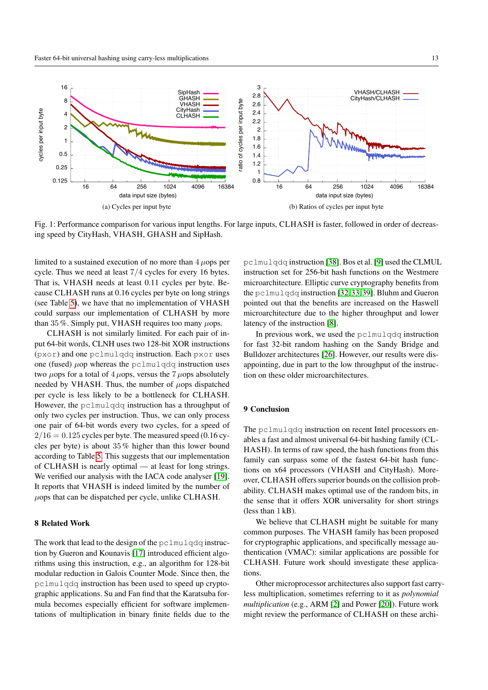<span id="page-12-0"></span>

Fig. 1: Performance comparison for various input lengths. For large inputs, CLHASH is faster, followed in order of decreasing speed by CityHash, VHASH, GHASH and SipHash.

limited to a sustained execution of no more than  $4 \mu$ ops per cycle. Thus we need at least  $7/4$  cycles for every 16 bytes. That is, VHASH needs at least 0.11 cycles per byte. Because CLHASH runs at 0.16 cycles per byte on long strings (see Table 5), we have that no implementation of VHASH could surpass our implementation of CLHASH by more than 35%. Simply put, VHASH requires too many  $\mu$ ops.

CLHASH is not similarly limited. For each pair of input 64-bit words, CLNH uses two 128-bit XOR instructions (pxor) and one pclmulgdg instruction. Each pxor uses one (fused)  $\mu$ op whereas the pclmulqdq instruction uses two  $\mu$ ops for a total of 4  $\mu$ ops, versus the 7  $\mu$ ops absolutely needed by VHASH. Thus, the number of  $\mu$ ops dispatched per cycle is less likely to be a bottleneck for CLHASH. However, the pclmulqdq instruction has a throughput of only two cycles per instruction. Thus, we can only process one pair of 64-bit words every two cycles, for a speed of  $2/16 = 0.125$  cycles per byte. The measured speed (0.16 cycles per byte) is about  $35\%$  higher than this lower bound according to Table 5. This suggests that our implementation of CLHASH is nearly optimal — at least for long strings. We verified our analysis with the IACA code analyser [19]. It reports that VHASH is indeed limited by the number of  $\mu$ ops that can be dispatched per cycle, unlike CLHASH.

# **8 Related Work**

The work that lead to the design of the pclmulgdg instruction by Gueron and Kounavis [17] introduced efficient algorithms using this instruction, e.g., an algorithm for 128-bit modular reduction in Galois Counter Mode. Since then, the pclmulgdg instruction has been used to speed up cryptographic applications. Su and Fan find that the Karatsuba formula becomes especially efficient for software implementations of multiplication in binary finite fields due to the

pclmulqdq instruction [38]. Bos et al. [9] used the CLMUL instruction set for 256-bit hash functions on the Westmere microarchitecture. Elliptic curve cryptography benefits from the pclmulqdq instruction [32, 33, 39]. Bluhm and Gueron pointed out that the benefits are increased on the Haswell microarchitecture due to the higher throughput and lower latency of the instruction [8].

In previous work, we used the pclmulqdq instruction for fast 32-bit random hashing on the Sandy Bridge and Bulldozer architectures [26]. However, our results were disappointing, due in part to the low throughput of the instruction on these older microarchitectures.

## 9 Conclusion

The pclmulqdq instruction on recent Intel processors enables a fast and almost universal 64-bit hashing family (CL-HASH). In terms of raw speed, the hash functions from this family can surpass some of the fastest 64-bit hash functions on x64 processors (VHASH and CityHash). Moreover, CLHASH offers superior bounds on the collision probability. CLHASH makes optimal use of the random bits, in the sense that it offers XOR universality for short strings  $(less than 1 kB)$ .

We believe that CLHASH might be suitable for many common purposes. The VHASH family has been proposed for cryptographic applications, and specifically message authentication (VMAC): similar applications are possible for CLHASH. Future work should investigate these applications.

Other microprocessor architectures also support fast carryless multiplication, sometimes referring to it as *polynomial* multiplication (e.g., ARM [2] and Power [20]). Future work might review the performance of CLHASH on these archi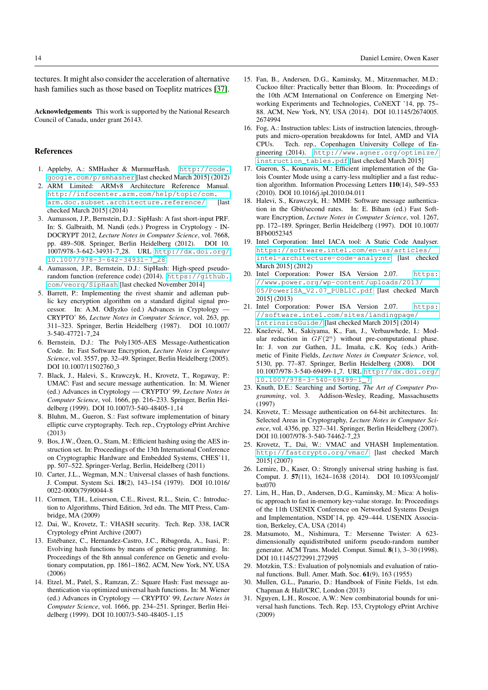tectures. It might also consider the acceleration of alternative hash families such as those based on Toeplitz matrices [\[37\]](#page-14-2).

Acknowledgements This work is supported by the National Research Council of Canada, under grant 26143.

#### References

- <span id="page-13-21"></span>1. Appleby, A.: SMHasher & MurmurHash. [http://code.](http://code.google.com/p/smhasher) [google.com/p/smhasher](http://code.google.com/p/smhasher) [last checked March 2015] (2012)
- <span id="page-13-29"></span>2. ARM Limited: ARMv8 Architecture Reference Manual. [http://infocenter.arm.com/help/topic/com.](http://infocenter.arm.com/help/topic/com.arm.doc.subset.architecture.reference/) [arm.doc.subset.architecture.reference/](http://infocenter.arm.com/help/topic/com.arm.doc.subset.architecture.reference/) [last checked March 2015] (2014)
- <span id="page-13-0"></span>3. Aumasson, J.P., Bernstein, D.J.: SipHash: A fast short-input PRF. In: S. Galbraith, M. Nandi (eds.) Progress in Cryptology - IN-DOCRYPT 2012, *Lecture Notes in Computer Science*, vol. 7668, pp. 489–508. Springer, Berlin Heidelberg (2012). DOI 10. 1007/978-3-642-34931-7 28. URL [http://dx.doi.org/](http://dx.doi.org/10.1007/978-3-642-34931-7_28) [10.1007/978-3-642-34931-7\\_28](http://dx.doi.org/10.1007/978-3-642-34931-7_28)
- <span id="page-13-24"></span>4. Aumasson, J.P., Bernstein, D.J.: SipHash: High-speed pseudorandom function (reference code) (2014). [https://github.](https://github.com/veorq/SipHash) [com/veorq/SipHash](https://github.com/veorq/SipHash) [last checked November 2014]
- <span id="page-13-17"></span>5. Barrett, P.: Implementing the rivest shamir and adleman public key encryption algorithm on a standard digital signal processor. In: A.M. Odlyzko (ed.) Advances in Cryptology — CRYPTO' 86, *Lecture Notes in Computer Science*, vol. 263, pp. 311–323. Springer, Berlin Heidelberg (1987). DOI 10.1007/ 3-540-47721-7 24
- <span id="page-13-2"></span>6. Bernstein, D.J.: The Poly1305-AES Message-Authentication Code. In: Fast Software Encryption, *Lecture Notes in Computer Science*, vol. 3557, pp. 32–49. Springer, Berlin Heidelberg (2005). DOI 10.1007/11502760<sub>-3</sub>
- <span id="page-13-12"></span>7. Black, J., Halevi, S., Krawczyk, H., Krovetz, T., Rogaway, P.: UMAC: Fast and secure message authentication. In: M. Wiener (ed.) Advances in Cryptology — CRYPTO' 99, *Lecture Notes in Computer Science*, vol. 1666, pp. 216–233. Springer, Berlin Heidelberg (1999). DOI 10.1007/3-540-48405-1 14
- <span id="page-13-19"></span>8. Bluhm, M., Gueron, S.: Fast software implementation of binary elliptic curve cryptography. Tech. rep., Cryptology ePrint Archive (2013)
- <span id="page-13-28"></span>9. Bos, J.W., Özen, O., Stam, M.: Efficient hashing using the AES instruction set. In: Proceedings of the 13th International Conference on Cryptographic Hardware and Embedded Systems, CHES'11, pp. 507–522. Springer-Verlag, Berlin, Heidelberg (2011)
- <span id="page-13-7"></span>10. Carter, J.L., Wegman, M.N.: Universal classes of hash functions. J. Comput. System Sci. 18(2), 143–154 (1979). DOI 10.1016/ 0022-0000(79)90044-8
- <span id="page-13-8"></span>11. Cormen, T.H., Leiserson, C.E., Rivest, R.L., Stein, C.: Introduction to Algorithms, Third Edition, 3rd edn. The MIT Press, Cambridge, MA (2009)
- <span id="page-13-1"></span>12. Dai, W., Krovetz, T.: VHASH security. Tech. Rep. 338, IACR Cryptology ePrint Archive (2007)
- <span id="page-13-22"></span>13. Estebanez, C., Hernandez-Castro, J.C., Ribagorda, A., Isasi, P.: ´ Evolving hash functions by means of genetic programming. In: Proceedings of the 8th annual conference on Genetic and evolutionary computation, pp. 1861–1862. ACM, New York, NY, USA (2006)
- <span id="page-13-9"></span>14. Etzel, M., Patel, S., Ramzan, Z.: Square Hash: Fast message authentication via optimized universal hash functions. In: M. Wiener (ed.) Advances in Cryptology — CRYPTO' 99, *Lecture Notes in Computer Science*, vol. 1666, pp. 234–251. Springer, Berlin Heidelberg (1999). DOI 10.1007/3-540-48405-1 15
- <span id="page-13-26"></span>15. Fan, B., Andersen, D.G., Kaminsky, M., Mitzenmacher, M.D.: Cuckoo filter: Practically better than Bloom. In: Proceedings of the 10th ACM International on Conference on Emerging Networking Experiments and Technologies, CoNEXT '14, pp. 75– 88. ACM, New York, NY, USA (2014). DOI 10.1145/2674005. 2674994
- <span id="page-13-5"></span>16. Fog, A.: Instruction tables: Lists of instruction latencies, throughputs and micro-operation breakdowns for Intel, AMD and VIA CPUs. Tech. rep., Copenhagen University College of Engineering (2014). [http://www.agner.org/optimize/](http://www.agner.org/optimize/instruction_tables.pdf) [instruction\\_tables.pdf](http://www.agner.org/optimize/instruction_tables.pdf) [last checked March 2015]
- <span id="page-13-16"></span>17. Gueron, S., Kounavis, M.: Efficient implementation of the Galois Counter Mode using a carry-less multiplier and a fast reduction algorithm. Information Processing Letters 110(14), 549–553 (2010). DOI 10.1016/j.ipl.2010.04.011
- <span id="page-13-3"></span>18. Halevi, S., Krawczyk, H.: MMH: Software message authentication in the Gbit/second rates. In: E. Biham (ed.) Fast Software Encryption, *Lecture Notes in Computer Science*, vol. 1267, pp. 172–189. Springer, Berlin Heidelberg (1997). DOI 10.1007/ BFb0052345
- <span id="page-13-27"></span>19. Intel Corporation: Intel IACA tool: A Static Code Analyser. [https://software.intel.com/en-us/articles/](https://software.intel.com/en-us/articles/intel-architecture-code-analyzer) [intel-architecture-code-analyzer](https://software.intel.com/en-us/articles/intel-architecture-code-analyzer) [last checked March 2015] (2012)
- <span id="page-13-30"></span>20. Intel Corporation: Power ISA Version 2.07. [https:](https://www.power.org/wp-content/uploads/2013/05/PowerISA_V2.07_PUBLIC.pdf) [//www.power.org/wp-content/uploads/2013/](https://www.power.org/wp-content/uploads/2013/05/PowerISA_V2.07_PUBLIC.pdf) [05/PowerISA\\_V2.07\\_PUBLIC.pdf](https://www.power.org/wp-content/uploads/2013/05/PowerISA_V2.07_PUBLIC.pdf) [last checked March 2015] (2013)
- <span id="page-13-6"></span>21. Intel Corporation: Power ISA Version 2.07. [https:](https://software.intel.com/sites/landingpage/IntrinsicsGuide/) [//software.intel.com/sites/landingpage/](https://software.intel.com/sites/landingpage/IntrinsicsGuide/) [IntrinsicsGuide/](https://software.intel.com/sites/landingpage/IntrinsicsGuide/) [last checked March 2015] (2014)
- <span id="page-13-18"></span>22. Knežević, M., Sakiyama, K., Fan, J., Verbauwhede, I.: Modular reduction in  $GF(2^n)$  without pre-computational phase. In: J. von zur Gathen, J.L. Imaña, c.K. Koç (eds.) Arithmetic of Finite Fields, *Lecture Notes in Computer Science*, vol. 5130, pp. 77–87. Springer, Berlin Heidelberg (2008). DOI 10.1007/978-3-540-69499-1 7. URL [http://dx.doi.org/](http://dx.doi.org/10.1007/978-3-540-69499-1_7) [10.1007/978-3-540-69499-1\\_7](http://dx.doi.org/10.1007/978-3-540-69499-1_7)
- <span id="page-13-20"></span>23. Knuth, D.E.: Searching and Sorting, *The Art of Computer Programming*, vol. 3. Addison-Wesley, Reading, Massachusetts (1997)
- <span id="page-13-4"></span>24. Krovetz, T.: Message authentication on 64-bit architectures. In: Selected Areas in Cryptography, *Lecture Notes in Computer Science*, vol. 4356, pp. 327–341. Springer, Berlin Heidelberg (2007). DOI 10.1007/978-3-540-74462-7 23
- <span id="page-13-11"></span>25. Krovetz, T., Dai, W.: VMAC and VHASH Implementation. <http://fastcrypto.org/vmac/> [last checked March 2015] (2007)
- <span id="page-13-13"></span>26. Lemire, D., Kaser, O.: Strongly universal string hashing is fast. Comput. J. 57(11), 1624–1638 (2014). DOI 10.1093/comjnl/ bxt070
- <span id="page-13-25"></span>27. Lim, H., Han, D., Andersen, D.G., Kaminsky, M.: Mica: A holistic approach to fast in-memory key-value storage. In: Proceedings of the 11th USENIX Conference on Networked Systems Design and Implementation, NSDI'14, pp. 429–444. USENIX Association, Berkeley, CA, USA (2014)
- <span id="page-13-23"></span>28. Matsumoto, M., Nishimura, T.: Mersenne Twister: A 623 dimensionally equidistributed uniform pseudo-random number generator. ACM Trans. Model. Comput. Simul. 8(1), 3–30 (1998). DOI 10.1145/272991.272995
- <span id="page-13-14"></span>29. Motzkin, T.S.: Evaluation of polynomials and evaluation of rational functions. Bull. Amer. Math. Soc. 61(9), 163 (1955)
- <span id="page-13-15"></span>30. Mullen, G.L., Panario, D.: Handbook of Finite Fields, 1st edn. Chapman & Hall/CRC, London (2013)
- <span id="page-13-10"></span>31. Nguyen, L.H., Roscoe, A.W.: New combinatorial bounds for universal hash functions. Tech. Rep. 153, Cryptology ePrint Archive (2009)